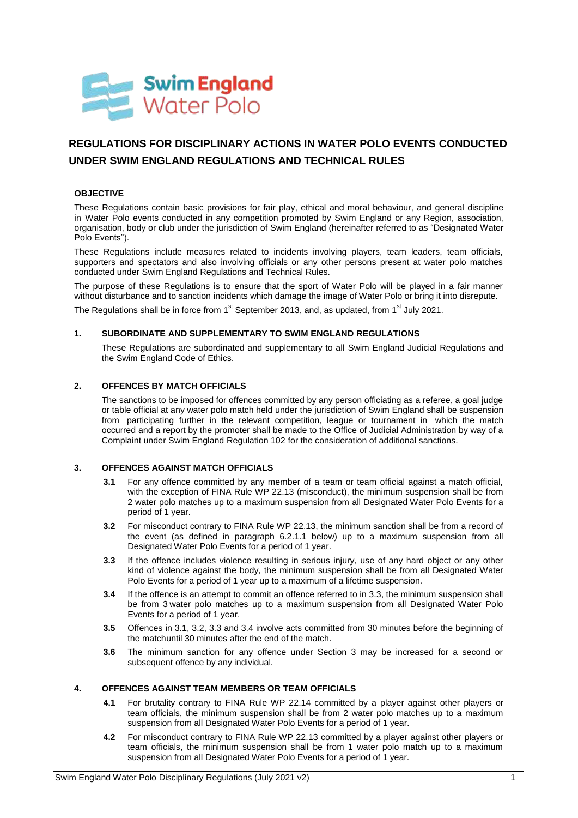

# **REGULATIONS FOR DISCIPLINARY ACTIONS IN WATER POLO EVENTS CONDUCTED UNDER SWIM ENGLAND REGULATIONS AND TECHNICAL RULES**

## **OBJECTIVE**

These Regulations contain basic provisions for fair play, ethical and moral behaviour, and general discipline in Water Polo events conducted in any competition promoted by Swim England or any Region, association, organisation, body or club under the jurisdiction of Swim England (hereinafter referred to as "Designated Water Polo Events").

These Regulations include measures related to incidents involving players, team leaders, team officials, supporters and spectators and also involving officials or any other persons present at water polo matches conducted under Swim England Regulations and Technical Rules.

The purpose of these Regulations is to ensure that the sport of Water Polo will be played in a fair manner without disturbance and to sanction incidents which damage the image of Water Polo or bring it into disrepute.

The Regulations shall be in force from  $1<sup>st</sup>$  September 2013, and, as updated, from  $1<sup>st</sup>$  July 2021.

#### **1. SUBORDINATE AND SUPPLEMENTARY TO SWIM ENGLAND REGULATIONS**

These Regulations are subordinated and supplementary to all Swim England Judicial Regulations and the Swim England Code of Ethics.

#### **2. OFFENCES BY MATCH OFFICIALS**

The sanctions to be imposed for offences committed by any person officiating as a referee, a goal judge or table official at any water polo match held under the jurisdiction of Swim England shall be suspension from participating further in the relevant competition, league or tournament in which the match occurred and a report by the promoter shall be made to the Office of Judicial Administration by way of a Complaint under Swim England Regulation 102 for the consideration of additional sanctions.

#### **3. OFFENCES AGAINST MATCH OFFICIALS**

- **3.1** For any offence committed by any member of a team or team official against a match official, with the exception of FINA Rule WP 22.13 (misconduct), the minimum suspension shall be from 2 water polo matches up to a maximum suspension from all Designated Water Polo Events for a period of 1 year.
- **3.2** For misconduct contrary to FINA Rule WP 22.13, the minimum sanction shall be from a record of the event (as defined in paragraph 6.2.1.1 below) up to a maximum suspension from all Designated Water Polo Events for a period of 1 year.
- **3.3** If the offence includes violence resulting in serious injury, use of any hard object or any other kind of violence against the body, the minimum suspension shall be from all Designated Water Polo Events for a period of 1 year up to a maximum of a lifetime suspension.
- **3.4** If the offence is an attempt to commit an offence referred to in 3.3, the minimum suspension shall be from 3 water polo matches up to a maximum suspension from all Designated Water Polo Events for a period of 1 year.
- **3.5** Offences in 3.1, 3.2, 3.3 and 3.4 involve acts committed from 30 minutes before the beginning of the matchuntil 30 minutes after the end of the match.
- **3.6** The minimum sanction for any offence under Section 3 may be increased for a second or subsequent offence by any individual.

### **4. OFFENCES AGAINST TEAM MEMBERS OR TEAM OFFICIALS**

- **4.1** For brutality contrary to FINA Rule WP 22.14 committed by a player against other players or team officials, the minimum suspension shall be from 2 water polo matches up to a maximum suspension from all Designated Water Polo Events for a period of 1 year.
- **4.2** For misconduct contrary to FINA Rule WP 22.13 committed by a player against other players or team officials, the minimum suspension shall be from 1 water polo match up to a maximum suspension from all Designated Water Polo Events for a period of 1 year.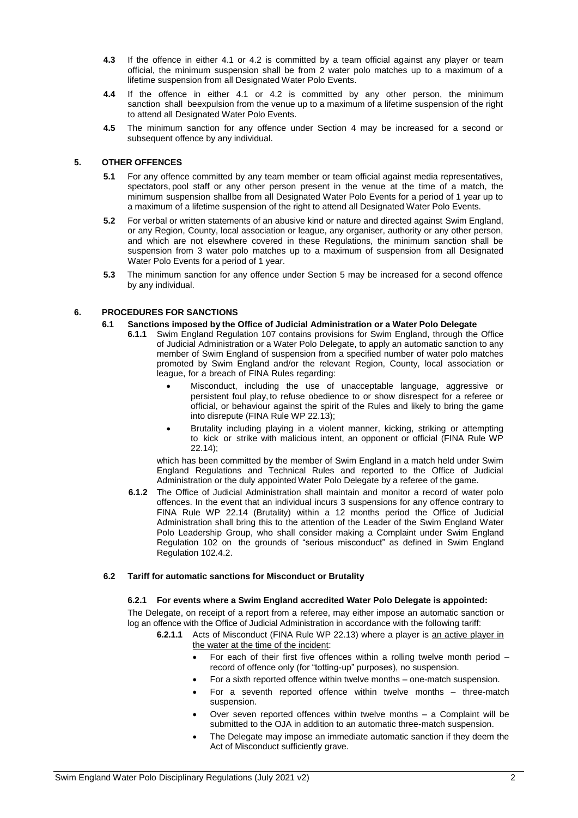- **4.3** If the offence in either 4.1 or 4.2 is committed by a team official against any player or team official, the minimum suspension shall be from 2 water polo matches up to a maximum of a lifetime suspension from all Designated Water Polo Events.
- **4.4** If the offence in either 4.1 or 4.2 is committed by any other person, the minimum sanction shall beexpulsion from the venue up to a maximum of a lifetime suspension of the right to attend all Designated Water Polo Events.
- **4.5** The minimum sanction for any offence under Section 4 may be increased for a second or subsequent offence by any individual.

## **5. OTHER OFFENCES**

- **5.1** For any offence committed by any team member or team official against media representatives, spectators, pool staff or any other person present in the venue at the time of a match, the minimum suspension shallbe from all Designated Water Polo Events for a period of 1 year up to a maximum of a lifetime suspension of the right to attend all Designated Water Polo Events.
- **5.2** For verbal or written statements of an abusive kind or nature and directed against Swim England, or any Region, County, local association or league, any organiser, authority or any other person, and which are not elsewhere covered in these Regulations, the minimum sanction shall be suspension from 3 water polo matches up to a maximum of suspension from all Designated Water Polo Events for a period of 1 year.
- **5.3** The minimum sanction for any offence under Section 5 may be increased for a second offence by any individual.

# **6. PROCEDURES FOR SANCTIONS**

- **6.1 Sanctions imposed by the Office of Judicial Administration or a Water Polo Delegate**
	- **6.1.1** Swim England Regulation 107 contains provisions for Swim England, through the Office of Judicial Administration or a Water Polo Delegate, to apply an automatic sanction to any member of Swim England of suspension from a specified number of water polo matches promoted by Swim England and/or the relevant Region, County, local association or league, for a breach of FINA Rules regarding:
		- Misconduct, including the use of unacceptable language, aggressive or persistent foul play, to refuse obedience to or show disrespect for a referee or official, or behaviour against the spirit of the Rules and likely to bring the game into disrepute (FINA Rule WP 22.13);
		- Brutality including playing in a violent manner, kicking, striking or attempting to kick or strike with malicious intent, an opponent or official (FINA Rule WP 22.14);

which has been committed by the member of Swim England in a match held under Swim England Regulations and Technical Rules and reported to the Office of Judicial Administration or the duly appointed Water Polo Delegate by a referee of the game.

**6.1.2** The Office of Judicial Administration shall maintain and monitor a record of water polo offences. In the event that an individual incurs 3 suspensions for any offence contrary to FINA Rule WP 22.14 (Brutality) within a 12 months period the Office of Judicial Administration shall bring this to the attention of the Leader of the Swim England Water Polo Leadership Group, who shall consider making a Complaint under Swim England Regulation 102 on the grounds of "serious misconduct" as defined in Swim England Regulation 102.4.2.

## **6.2 Tariff for automatic sanctions for Misconduct or Brutality**

## **6.2.1 For events where a Swim England accredited Water Polo Delegate is appointed:**

The Delegate, on receipt of a report from a referee, may either impose an automatic sanction or log an offence with the Office of Judicial Administration in accordance with the following tariff:

- **6.2.1.1** Acts of Misconduct (FINA Rule WP 22.13) where a player is an active player in the water at the time of the incident:
	- For each of their first five offences within a rolling twelve month period record of offence only (for "totting-up" purposes), no suspension.
	- For a sixth reported offence within twelve months one-match suspension.
	- For a seventh reported offence within twelve months three-match suspension.
	- Over seven reported offences within twelve months a Complaint will be submitted to the OJA in addition to an automatic three-match suspension.
	- The Delegate may impose an immediate automatic sanction if they deem the Act of Misconduct sufficiently grave.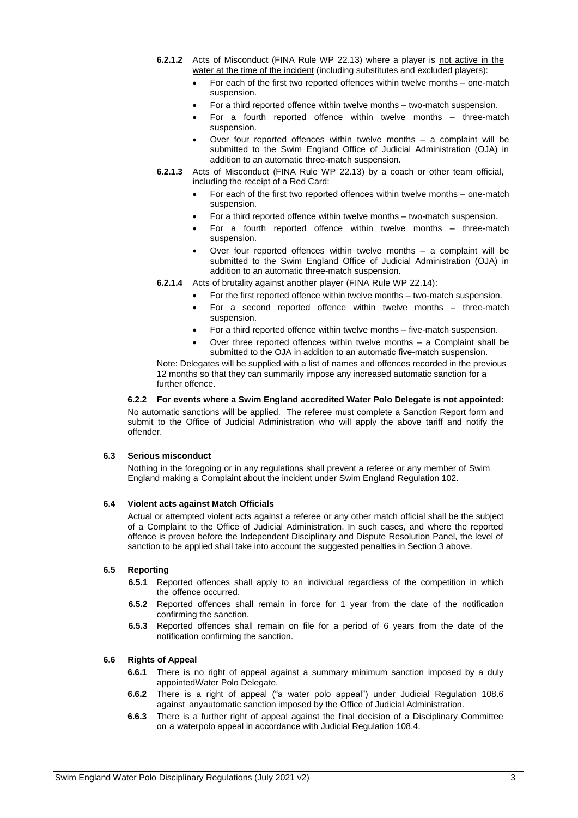- **6.2.1.2** Acts of Misconduct (FINA Rule WP 22.13) where a player is not active in the water at the time of the incident (including substitutes and excluded players):
	- For each of the first two reported offences within twelve months one-match suspension.
	- For a third reported offence within twelve months two-match suspension.
	- For a fourth reported offence within twelve months three-match suspension.
	- Over four reported offences within twelve months a complaint will be submitted to the Swim England Office of Judicial Administration (OJA) in addition to an automatic three-match suspension.
- **6.2.1.3** Acts of Misconduct (FINA Rule WP 22.13) by a coach or other team official, including the receipt of a Red Card:
	- For each of the first two reported offences within twelve months one-match suspension.
	- For a third reported offence within twelve months two-match suspension.
	- For a fourth reported offence within twelve months three-match suspension.
	- Over four reported offences within twelve months a complaint will be submitted to the Swim England Office of Judicial Administration (OJA) in addition to an automatic three-match suspension.
- **6.2.1.4** Acts of brutality against another player (FINA Rule WP 22.14):
	- For the first reported offence within twelve months two-match suspension.
	- For a second reported offence within twelve months three-match suspension.
	- For a third reported offence within twelve months five-match suspension.
	- Over three reported offences within twelve months a Complaint shall be submitted to the OJA in addition to an automatic five-match suspension.

Note: Delegates will be supplied with a list of names and offences recorded in the previous 12 months so that they can summarily impose any increased automatic sanction for a further offence.

#### **6.2.2 For events where a Swim England accredited Water Polo Delegate is not appointed:**

No automatic sanctions will be applied. The referee must complete a Sanction Report form and submit to the Office of Judicial Administration who will apply the above tariff and notify the offender.

#### **6.3 Serious misconduct**

Nothing in the foregoing or in any regulations shall prevent a referee or any member of Swim England making a Complaint about the incident under Swim England Regulation 102.

#### **6.4 Violent acts against Match Officials**

Actual or attempted violent acts against a referee or any other match official shall be the subject of a Complaint to the Office of Judicial Administration. In such cases, and where the reported offence is proven before the Independent Disciplinary and Dispute Resolution Panel, the level of sanction to be applied shall take into account the suggested penalties in Section 3 above.

#### **6.5 Reporting**

- **6.5.1** Reported offences shall apply to an individual regardless of the competition in which the offence occurred.
- **6.5.2** Reported offences shall remain in force for 1 year from the date of the notification confirming the sanction.
- **6.5.3** Reported offences shall remain on file for a period of 6 years from the date of the notification confirming the sanction.

#### **6.6 Rights of Appeal**

- **6.6.1** There is no right of appeal against a summary minimum sanction imposed by a duly appointedWater Polo Delegate.
- **6.6.2** There is a right of appeal ("a water polo appeal") under Judicial Regulation 108.6 against anyautomatic sanction imposed by the Office of Judicial Administration.
- **6.6.3** There is a further right of appeal against the final decision of a Disciplinary Committee on a waterpolo appeal in accordance with Judicial Regulation 108.4.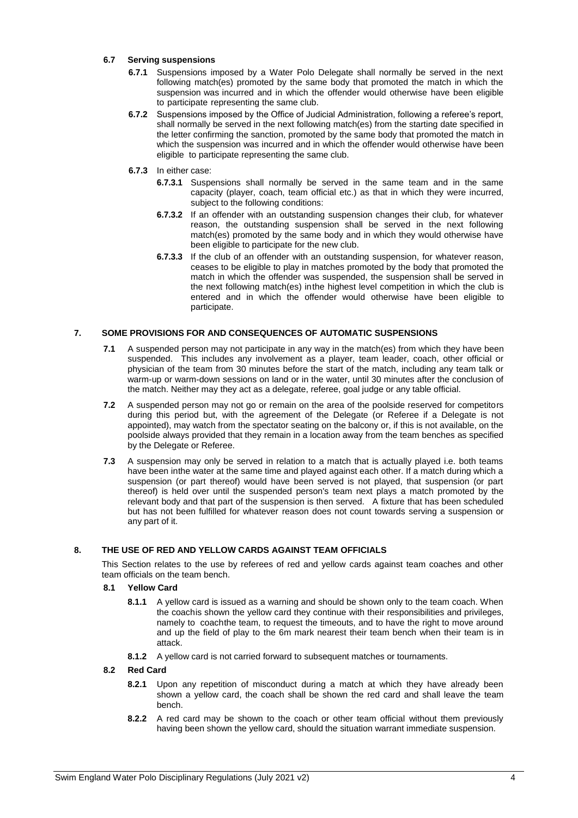## **6.7 Serving suspensions**

- **6.7.1** Suspensions imposed by a Water Polo Delegate shall normally be served in the next following match(es) promoted by the same body that promoted the match in which the suspension was incurred and in which the offender would otherwise have been eligible to participate representing the same club.
- **6.7.2** Suspensions imposed by the Office of Judicial Administration, following a referee's report, shall normally be served in the next following match(es) from the starting date specified in the letter confirming the sanction, promoted by the same body that promoted the match in which the suspension was incurred and in which the offender would otherwise have been eligible to participate representing the same club.
- **6.7.3** In either case:
	- **6.7.3.1** Suspensions shall normally be served in the same team and in the same capacity (player, coach, team official etc.) as that in which they were incurred, subject to the following conditions:
	- **6.7.3.2** If an offender with an outstanding suspension changes their club, for whatever reason, the outstanding suspension shall be served in the next following match(es) promoted by the same body and in which they would otherwise have been eligible to participate for the new club.
	- **6.7.3.3** If the club of an offender with an outstanding suspension, for whatever reason, ceases to be eligible to play in matches promoted by the body that promoted the match in which the offender was suspended, the suspension shall be served in the next following match(es) inthe highest level competition in which the club is entered and in which the offender would otherwise have been eligible to participate.

#### **7. SOME PROVISIONS FOR AND CONSEQUENCES OF AUTOMATIC SUSPENSIONS**

- **7.1** A suspended person may not participate in any way in the match(es) from which they have been suspended. This includes any involvement as a player, team leader, coach, other official or physician of the team from 30 minutes before the start of the match, including any team talk or warm-up or warm-down sessions on land or in the water, until 30 minutes after the conclusion of the match. Neither may they act as a delegate, referee, goal judge or any table official.
- **7.2** A suspended person may not go or remain on the area of the poolside reserved for competitors during this period but, with the agreement of the Delegate (or Referee if a Delegate is not appointed), may watch from the spectator seating on the balcony or, if this is not available, on the poolside always provided that they remain in a location away from the team benches as specified by the Delegate or Referee.
- **7.3** A suspension may only be served in relation to a match that is actually played i.e. both teams have been inthe water at the same time and played against each other. If a match during which a suspension (or part thereof) would have been served is not played, that suspension (or part thereof) is held over until the suspended person's team next plays a match promoted by the relevant body and that part of the suspension is then served. A fixture that has been scheduled but has not been fulfilled for whatever reason does not count towards serving a suspension or any part of it.

# **8. THE USE OF RED AND YELLOW CARDS AGAINST TEAM OFFICIALS**

This Section relates to the use by referees of red and yellow cards against team coaches and other team officials on the team bench.

#### **8.1 Yellow Card**

- **8.1.1** A yellow card is issued as a warning and should be shown only to the team coach. When the coachis shown the yellow card they continue with their responsibilities and privileges, namely to coachthe team, to request the timeouts, and to have the right to move around and up the field of play to the 6m mark nearest their team bench when their team is in attack.
- **8.1.2** A yellow card is not carried forward to subsequent matches or tournaments.

#### **8.2 Red Card**

- **8.2.1** Upon any repetition of misconduct during a match at which they have already been shown a yellow card, the coach shall be shown the red card and shall leave the team bench.
- **8.2.2** A red card may be shown to the coach or other team official without them previously having been shown the yellow card, should the situation warrant immediate suspension.